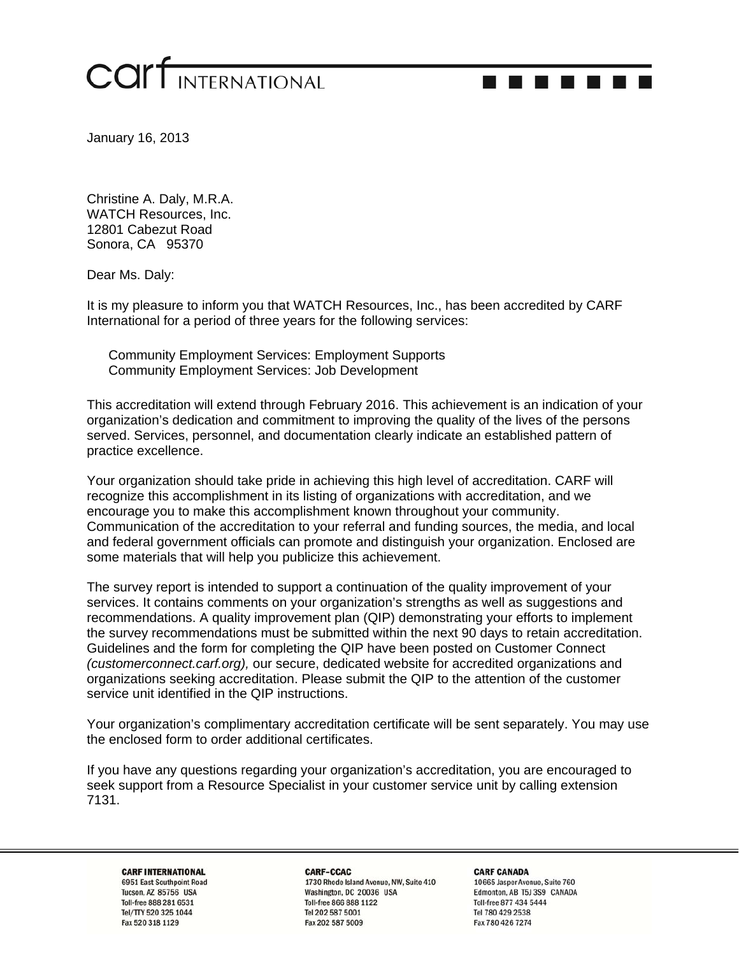

-------

January 16, 2013

Christine A. Daly, M.R.A. WATCH Resources, Inc. 12801 Cabezut Road Sonora, CA 95370

Dear Ms. Daly:

It is my pleasure to inform you that WATCH Resources, Inc., has been accredited by CARF International for a period of three years for the following services:

Community Employment Services: Employment Supports Community Employment Services: Job Development

This accreditation will extend through February 2016. This achievement is an indication of your organization's dedication and commitment to improving the quality of the lives of the persons served. Services, personnel, and documentation clearly indicate an established pattern of practice excellence.

Your organization should take pride in achieving this high level of accreditation. CARF will recognize this accomplishment in its listing of organizations with accreditation, and we encourage you to make this accomplishment known throughout your community. Communication of the accreditation to your referral and funding sources, the media, and local and federal government officials can promote and distinguish your organization. Enclosed are some materials that will help you publicize this achievement.

The survey report is intended to support a continuation of the quality improvement of your services. It contains comments on your organization's strengths as well as suggestions and recommendations. A quality improvement plan (QIP) demonstrating your efforts to implement the survey recommendations must be submitted within the next 90 days to retain accreditation. Guidelines and the form for completing the QIP have been posted on Customer Connect *(customerconnect.carf.org),* our secure, dedicated website for accredited organizations and organizations seeking accreditation. Please submit the QIP to the attention of the customer service unit identified in the QIP instructions.

Your organization's complimentary accreditation certificate will be sent separately. You may use the enclosed form to order additional certificates.

If you have any questions regarding your organization's accreditation, you are encouraged to seek support from a Resource Specialist in your customer service unit by calling extension 7131.

**CARF INTERNATIONAL** 6951 East Southpoint Road Tucson, AZ 85756 USA Toll-free 888 281 6531 Tel/TTY 520 325 1044 Fax 520 318 1129

CARF-CCAC 1730 Rhode Island Avenue, NW, Suite 410 Washington, DC 20036 USA Toll-free 866 888 1122 Tel 202 587 5001 Fax 202 587 5009

**CARF CANADA** 10665 Jasper Avenue, Suite 760 Edmonton, AB T5J 3S9 CANADA Toll-free 877 434 5444 Tel 780 429 2538 Fax 780 426 7274